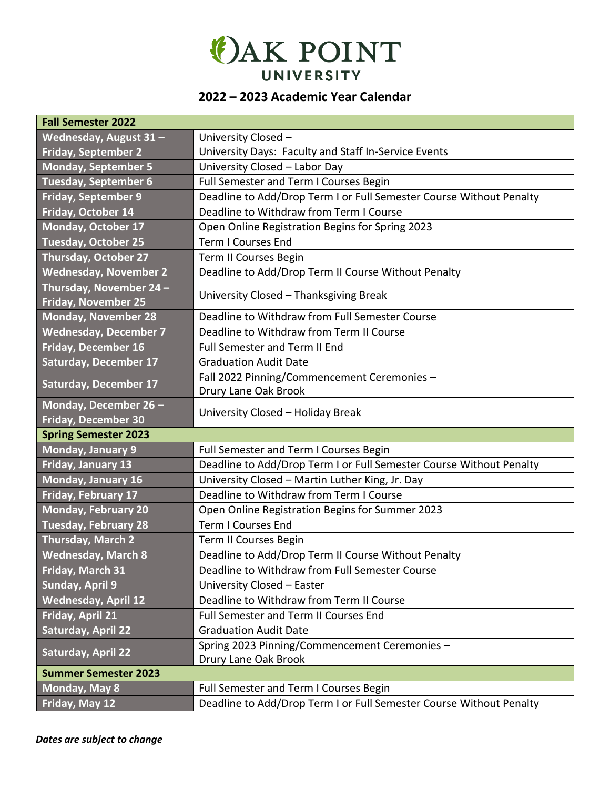

## **2022 – 2023 Academic Year Calendar**

| <b>Fall Semester 2022</b>                            |                                                                     |  |  |
|------------------------------------------------------|---------------------------------------------------------------------|--|--|
| Wednesday, August 31 -                               | University Closed -                                                 |  |  |
| <b>Friday, September 2</b>                           | University Days: Faculty and Staff In-Service Events                |  |  |
| <b>Monday, September 5</b>                           | University Closed - Labor Day                                       |  |  |
| <b>Tuesday, September 6</b>                          | Full Semester and Term I Courses Begin                              |  |  |
| <b>Friday, September 9</b>                           | Deadline to Add/Drop Term I or Full Semester Course Without Penalty |  |  |
| Friday, October 14                                   | Deadline to Withdraw from Term I Course                             |  |  |
| Monday, October 17                                   | Open Online Registration Begins for Spring 2023                     |  |  |
| <b>Tuesday, October 25</b>                           | <b>Term I Courses End</b>                                           |  |  |
| <b>Thursday, October 27</b>                          | Term II Courses Begin                                               |  |  |
| <b>Wednesday, November 2</b>                         | Deadline to Add/Drop Term II Course Without Penalty                 |  |  |
| Thursday, November 24-<br><b>Friday, November 25</b> | University Closed - Thanksgiving Break                              |  |  |
| <b>Monday, November 28</b>                           | Deadline to Withdraw from Full Semester Course                      |  |  |
| <b>Wednesday, December 7</b>                         | Deadline to Withdraw from Term II Course                            |  |  |
| Friday, December 16                                  | Full Semester and Term II End                                       |  |  |
| <b>Saturday, December 17</b>                         | <b>Graduation Audit Date</b>                                        |  |  |
| <b>Saturday, December 17</b>                         | Fall 2022 Pinning/Commencement Ceremonies -                         |  |  |
|                                                      | Drury Lane Oak Brook                                                |  |  |
| Monday, December 26 -                                | University Closed - Holiday Break                                   |  |  |
| Friday, December 30                                  |                                                                     |  |  |
| <b>Spring Semester 2023</b>                          |                                                                     |  |  |
| Monday, January 9                                    | Full Semester and Term I Courses Begin                              |  |  |
| Friday, January 13                                   | Deadline to Add/Drop Term I or Full Semester Course Without Penalty |  |  |
| Monday, January 16                                   | University Closed - Martin Luther King, Jr. Day                     |  |  |
| Friday, February 17                                  | Deadline to Withdraw from Term I Course                             |  |  |
| <b>Monday, February 20</b>                           | Open Online Registration Begins for Summer 2023                     |  |  |
| <b>Tuesday, February 28</b>                          | <b>Term I Courses End</b>                                           |  |  |
| <b>Thursday, March 2</b>                             | <b>Term II Courses Begin</b>                                        |  |  |
| <b>Wednesday, March 8</b>                            | Deadline to Add/Drop Term II Course Without Penalty                 |  |  |
| Friday, March 31                                     | Deadline to Withdraw from Full Semester Course                      |  |  |
| <b>Sunday, April 9</b>                               | University Closed - Easter                                          |  |  |
| <b>Wednesday, April 12</b>                           | Deadline to Withdraw from Term II Course                            |  |  |
| Friday, April 21                                     | Full Semester and Term II Courses End                               |  |  |
| <b>Saturday, April 22</b>                            | <b>Graduation Audit Date</b>                                        |  |  |
| <b>Saturday, April 22</b>                            | Spring 2023 Pinning/Commencement Ceremonies -                       |  |  |
|                                                      | Drury Lane Oak Brook                                                |  |  |
| <b>Summer Semester 2023</b>                          |                                                                     |  |  |
| Monday, May 8                                        | Full Semester and Term I Courses Begin                              |  |  |
| Friday, May 12                                       | Deadline to Add/Drop Term I or Full Semester Course Without Penalty |  |  |